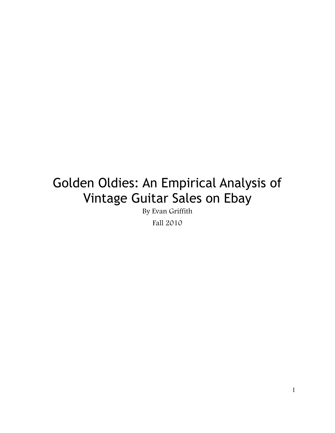# Golden Oldies: An Empirical Analysis of Vintage Guitar Sales on Ebay

By Evan Griffith

Fall 2010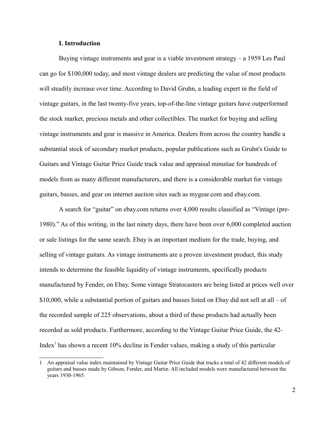# **I. Introduction**

Buying vintage instruments and gear is a viable investment strategy – a 1959 Les Paul can go for \$100,000 today, and most vintage dealers are predicting the value of most products will steadily increase over time. According to David Gruhn, a leading expert in the field of vintage guitars, in the last twenty-five years, top-of-the-line vintage guitars have outperformed the stock market, precious metals and other collectibles. The market for buying and selling vintage instruments and gear is massive in America. Dealers from across the country handle a substantial stock of secondary market products, popular publications such as Gruhn's Guide to Guitars and Vintage Guitar Price Guide track value and appraisal minutiae for hundreds of models from as many different manufacturers, and there is a considerable market for vintage guitars, basses, and gear on internet auction sites such as mygear.com and ebay.com.

A search for "guitar" on ebay.com returns over 4,000 results classified as "Vintage (pre-1980)." As of this writing, in the last ninety days, there have been over 6,000 completed auction or sale listings for the same search. Ebay is an important medium for the trade, buying, and selling of vintage guitars. As vintage instruments are a proven investment product, this study intends to determine the feasible liquidity of vintage instruments, specifically products manufactured by Fender, on Ebay. Some vintage Stratocasters are being listed at prices well over \$10,000, while a substantial portion of guitars and basses listed on Ebay did not sell at all – of the recorded sample of 225 observations, about a third of these products had actually been recorded as sold products. Furthermore, according to the Vintage Guitar Price Guide, the 42- Index<sup>[1](#page-1-0)</sup> has shown a recent 10% decline in Fender values, making a study of this particular

<span id="page-1-0"></span><sup>1</sup> An appraisal value index maintained by Vintage Guitar Price Guide that tracks a total of 42 different models of guitars and basses made by Gibson, Fender, and Martin. All included models were manufactured between the years 1930-1965.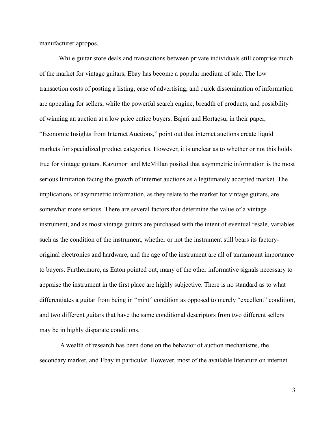manufacturer apropos.

While guitar store deals and transactions between private individuals still comprise much of the market for vintage guitars, Ebay has become a popular medium of sale. The low transaction costs of posting a listing, ease of advertising, and quick dissemination of information are appealing for sellers, while the powerful search engine, breadth of products, and possibility of winning an auction at a low price entice buyers. Bajari and Hortaçsu, in their paper, "Economic Insights from Internet Auctions," point out that internet auctions create liquid markets for specialized product categories. However, it is unclear as to whether or not this holds true for vintage guitars. Kazumori and McMillan posited that asymmetric information is the most serious limitation facing the growth of internet auctions as a legitimately accepted market. The implications of asymmetric information, as they relate to the market for vintage guitars, are somewhat more serious. There are several factors that determine the value of a vintage instrument, and as most vintage guitars are purchased with the intent of eventual resale, variables such as the condition of the instrument, whether or not the instrument still bears its factoryoriginal electronics and hardware, and the age of the instrument are all of tantamount importance to buyers. Furthermore, as Eaton pointed out, many of the other informative signals necessary to appraise the instrument in the first place are highly subjective. There is no standard as to what differentiates a guitar from being in "mint" condition as opposed to merely "excellent" condition, and two different guitars that have the same conditional descriptors from two different sellers may be in highly disparate conditions.

 A wealth of research has been done on the behavior of auction mechanisms, the secondary market, and Ebay in particular. However, most of the available literature on internet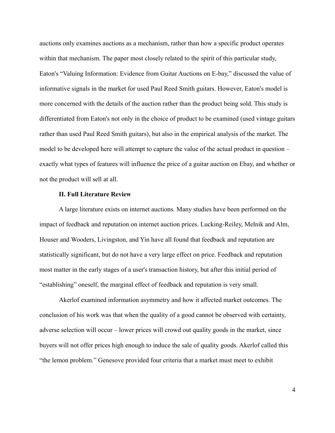auctions only examines auctions as a mechanism, rather than how a specific product operates within that mechanism. The paper most closely related to the spirit of this particular study, Eaton's "Valuing Information: Evidence from Guitar Auctions on E-bay," discussed the value of informative signals in the market for used Paul Reed Smith guitars. However, Eaton's model is more concerned with the details of the auction rather than the product being sold. This study is differentiated from Eaton's not only in the choice of product to be examined (used vintage guitars rather than used Paul Reed Smith guitars), but also in the empirical analysis of the market. The model to be developed here will attempt to capture the value of the actual product in question – exactly what types of features will influence the price of a guitar auction on Ebay, and whether or not the product will sell at all.

## **II. Full Literature Review**

A large literature exists on internet auctions. Many studies have been performed on the impact of feedback and reputation on internet auction prices. Lucking-Reiley, Melnik and Alm, Houser and Wooders, Livingston, and Yin have all found that feedback and reputation are statistically significant, but do not have a very large effect on price. Feedback and reputation most matter in the early stages of a user's transaction history, but after this initial period of "establishing" oneself, the marginal effect of feedback and reputation is very small.

Akerlof examined information asymmetry and how it affected market outcomes. The conclusion of his work was that when the quality of a good cannot be observed with certainty, adverse selection will occur – lower prices will crowd out quality goods in the market, since buyers will not offer prices high enough to induce the sale of quality goods. Akerlof called this "the lemon problem." Genesove provided four criteria that a market must meet to exhibit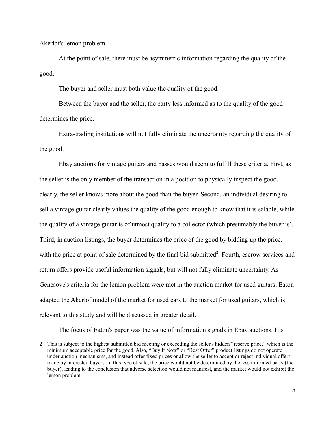Akerlof's lemon problem.

At the point of sale, there must be asymmetric information regarding the quality of the good.

The buyer and seller must both value the quality of the good.

Between the buyer and the seller, the party less informed as to the quality of the good determines the price.

Extra-trading institutions will not fully eliminate the uncertainty regarding the quality of the good.

Ebay auctions for vintage guitars and basses would seem to fulfill these criteria. First, as the seller is the only member of the transaction in a position to physically inspect the good, clearly, the seller knows more about the good than the buyer. Second, an individual desiring to sell a vintage guitar clearly values the quality of the good enough to know that it is salable, while the quality of a vintage guitar is of utmost quality to a collector (which presumably the buyer is). Third, in auction listings, the buyer determines the price of the good by bidding up the price, with the price at point of sale determined by the final bid submitted<sup>[2](#page-4-0)</sup>. Fourth, escrow services and return offers provide useful information signals, but will not fully eliminate uncertainty. As Genesove's criteria for the lemon problem were met in the auction market for used guitars, Eaton adapted the Akerlof model of the market for used cars to the market for used guitars, which is relevant to this study and will be discussed in greater detail.

The focus of Eaton's paper was the value of information signals in Ebay auctions. His

<span id="page-4-0"></span><sup>2</sup> This is subject to the highest submitted bid meeting or exceeding the seller's hidden "reserve price," which is the minimum acceptable price for the good. Also, "Buy It Now" or "Best Offer" product listings do not operate under auction mechanisms, and instead offer fixed prices or allow the seller to accept or reject individual offers made by interested buyers. In this type of sale, the price would not be determined by the less informed party (the buyer), leading to the conclusion that adverse selection would not manifest, and the market would not exhibit the lemon problem.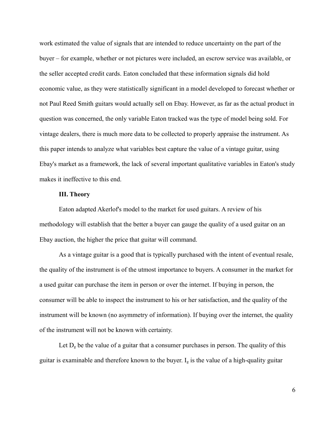work estimated the value of signals that are intended to reduce uncertainty on the part of the buyer – for example, whether or not pictures were included, an escrow service was available, or the seller accepted credit cards. Eaton concluded that these information signals did hold economic value, as they were statistically significant in a model developed to forecast whether or not Paul Reed Smith guitars would actually sell on Ebay. However, as far as the actual product in question was concerned, the only variable Eaton tracked was the type of model being sold. For vintage dealers, there is much more data to be collected to properly appraise the instrument. As this paper intends to analyze what variables best capture the value of a vintage guitar, using Ebay's market as a framework, the lack of several important qualitative variables in Eaton's study makes it ineffective to this end.

# **III. Theory**

Eaton adapted Akerlof's model to the market for used guitars. A review of his methodology will establish that the better a buyer can gauge the quality of a used guitar on an Ebay auction, the higher the price that guitar will command.

As a vintage guitar is a good that is typically purchased with the intent of eventual resale, the quality of the instrument is of the utmost importance to buyers. A consumer in the market for a used guitar can purchase the item in person or over the internet. If buying in person, the consumer will be able to inspect the instrument to his or her satisfaction, and the quality of the instrument will be known (no asymmetry of information). If buying over the internet, the quality of the instrument will not be known with certainty.

Let  $D_g$  be the value of a guitar that a consumer purchases in person. The quality of this guitar is examinable and therefore known to the buyer.  $I<sub>g</sub>$  is the value of a high-quality guitar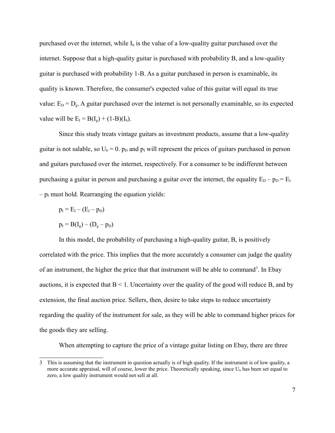purchased over the internet, while  $I<sub>b</sub>$  is the value of a low-quality guitar purchased over the internet. Suppose that a high-quality guitar is purchased with probability B, and a low-quality guitar is purchased with probability 1-B. As a guitar purchased in person is examinable, its quality is known. Therefore, the consumer's expected value of this guitar will equal its true value:  $E_D = D_g$ . A guitar purchased over the internet is not personally examinable, so its expected value will be  $E_{I} = B(I_{g}) + (1-B)(I_{b}).$ 

Since this study treats vintage guitars as investment products, assume that a low-quality guitar is not salable, so  $U_b = 0$ .  $p_D$  and  $p_I$  will represent the prices of guitars purchased in person and guitars purchased over the internet, respectively. For a consumer to be indifferent between purchasing a guitar in person and purchasing a guitar over the internet, the equality  $E_D - p_D = E_I$  $-p<sub>I</sub>$  must hold. Rearranging the equation yields:

$$
p_I = E_I - (E_I - p_D)
$$

$$
p_{I} = B(I_g) - (D_g - p_D)
$$

In this model, the probability of purchasing a high-quality guitar, B, is positively correlated with the price. This implies that the more accurately a consumer can judge the quality of an instrument, the higher the price that that instrument will be able to command<sup>[3](#page-6-0)</sup>. In Ebay auctions, it is expected that  $B < 1$ . Uncertainty over the quality of the good will reduce B, and by extension, the final auction price. Sellers, then, desire to take steps to reduce uncertainty regarding the quality of the instrument for sale, as they will be able to command higher prices for the goods they are selling.

When attempting to capture the price of a vintage guitar listing on Ebay, there are three

<span id="page-6-0"></span><sup>3</sup> This is assuming that the instrument in question actually is of high quality. If the instrument is of low quality, a more accurate appraisal, will of course, lower the price. Theoretically speaking, since  $U<sub>b</sub>$  has been set equal to zero, a low quality instrument would not sell at all.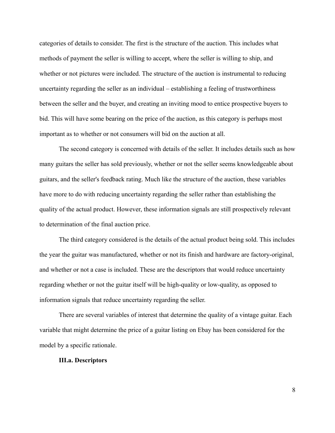categories of details to consider. The first is the structure of the auction. This includes what methods of payment the seller is willing to accept, where the seller is willing to ship, and whether or not pictures were included. The structure of the auction is instrumental to reducing uncertainty regarding the seller as an individual – establishing a feeling of trustworthiness between the seller and the buyer, and creating an inviting mood to entice prospective buyers to bid. This will have some bearing on the price of the auction, as this category is perhaps most important as to whether or not consumers will bid on the auction at all.

The second category is concerned with details of the seller. It includes details such as how many guitars the seller has sold previously, whether or not the seller seems knowledgeable about guitars, and the seller's feedback rating. Much like the structure of the auction, these variables have more to do with reducing uncertainty regarding the seller rather than establishing the quality of the actual product. However, these information signals are still prospectively relevant to determination of the final auction price.

The third category considered is the details of the actual product being sold. This includes the year the guitar was manufactured, whether or not its finish and hardware are factory-original, and whether or not a case is included. These are the descriptors that would reduce uncertainty regarding whether or not the guitar itself will be high-quality or low-quality, as opposed to information signals that reduce uncertainty regarding the seller.

There are several variables of interest that determine the quality of a vintage guitar. Each variable that might determine the price of a guitar listing on Ebay has been considered for the model by a specific rationale.

## **III.a. Descriptors**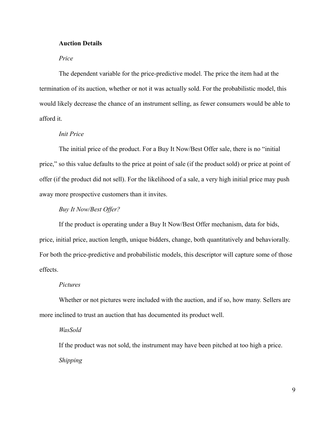# **Auction Details**

# *Price*

The dependent variable for the price-predictive model. The price the item had at the termination of its auction, whether or not it was actually sold. For the probabilistic model, this would likely decrease the chance of an instrument selling, as fewer consumers would be able to afford it.

## *Init Price*

The initial price of the product. For a Buy It Now/Best Offer sale, there is no "initial price," so this value defaults to the price at point of sale (if the product sold) or price at point of offer (if the product did not sell). For the likelihood of a sale, a very high initial price may push away more prospective customers than it invites.

# *Buy It Now/Best Offer?*

If the product is operating under a Buy It Now/Best Offer mechanism, data for bids, price, initial price, auction length, unique bidders, change, both quantitatively and behaviorally. For both the price-predictive and probabilistic models, this descriptor will capture some of those effects.

## *Pictures*

Whether or not pictures were included with the auction, and if so, how many. Sellers are more inclined to trust an auction that has documented its product well.

#### *WasSold*

If the product was not sold, the instrument may have been pitched at too high a price. *Shipping*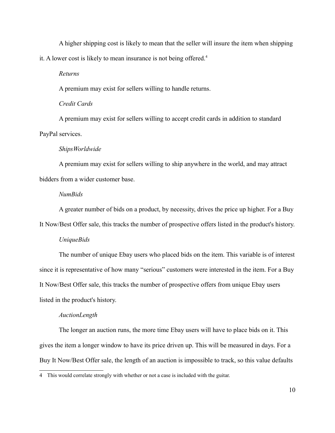A higher shipping cost is likely to mean that the seller will insure the item when shipping it. A lower cost is likely to mean insurance is not being offered.<sup>[4](#page-9-0)</sup>

*Returns*

A premium may exist for sellers willing to handle returns.

*Credit Cards*

A premium may exist for sellers willing to accept credit cards in addition to standard PayPal services.

#### *ShipsWorldwide*

A premium may exist for sellers willing to ship anywhere in the world, and may attract bidders from a wider customer base.

## *NumBids*

A greater number of bids on a product, by necessity, drives the price up higher. For a Buy

It Now/Best Offer sale, this tracks the number of prospective offers listed in the product's history.

#### *UniqueBids*

The number of unique Ebay users who placed bids on the item. This variable is of interest since it is representative of how many "serious" customers were interested in the item. For a Buy It Now/Best Offer sale, this tracks the number of prospective offers from unique Ebay users listed in the product's history.

#### *AuctionLength*

The longer an auction runs, the more time Ebay users will have to place bids on it. This gives the item a longer window to have its price driven up. This will be measured in days. For a Buy It Now/Best Offer sale, the length of an auction is impossible to track, so this value defaults

<span id="page-9-0"></span><sup>4</sup> This would correlate strongly with whether or not a case is included with the guitar.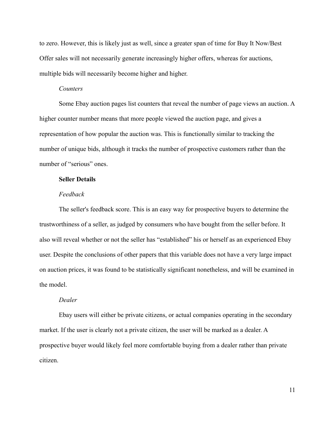to zero. However, this is likely just as well, since a greater span of time for Buy It Now/Best Offer sales will not necessarily generate increasingly higher offers, whereas for auctions, multiple bids will necessarily become higher and higher.

# *Counters*

Some Ebay auction pages list counters that reveal the number of page views an auction. A higher counter number means that more people viewed the auction page, and gives a representation of how popular the auction was. This is functionally similar to tracking the number of unique bids, although it tracks the number of prospective customers rather than the number of "serious" ones.

#### **Seller Details**

## *Feedback*

The seller's feedback score. This is an easy way for prospective buyers to determine the trustworthiness of a seller, as judged by consumers who have bought from the seller before. It also will reveal whether or not the seller has "established" his or herself as an experienced Ebay user. Despite the conclusions of other papers that this variable does not have a very large impact on auction prices, it was found to be statistically significant nonetheless, and will be examined in the model.

## *Dealer*

Ebay users will either be private citizens, or actual companies operating in the secondary market. If the user is clearly not a private citizen, the user will be marked as a dealer. A prospective buyer would likely feel more comfortable buying from a dealer rather than private citizen.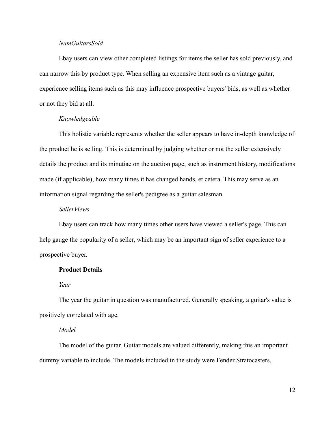# *NumGuitarsSold*

Ebay users can view other completed listings for items the seller has sold previously, and can narrow this by product type. When selling an expensive item such as a vintage guitar, experience selling items such as this may influence prospective buyers' bids, as well as whether or not they bid at all.

# *Knowledgeable*

This holistic variable represents whether the seller appears to have in-depth knowledge of the product he is selling. This is determined by judging whether or not the seller extensively details the product and its minutiae on the auction page, such as instrument history, modifications made (if applicable), how many times it has changed hands, et cetera. This may serve as an information signal regarding the seller's pedigree as a guitar salesman.

## *SellerViews*

Ebay users can track how many times other users have viewed a seller's page. This can help gauge the popularity of a seller, which may be an important sign of seller experience to a prospective buyer.

#### **Product Details**

## *Year*

The year the guitar in question was manufactured. Generally speaking, a guitar's value is positively correlated with age.

## *Model*

The model of the guitar. Guitar models are valued differently, making this an important dummy variable to include. The models included in the study were Fender Stratocasters,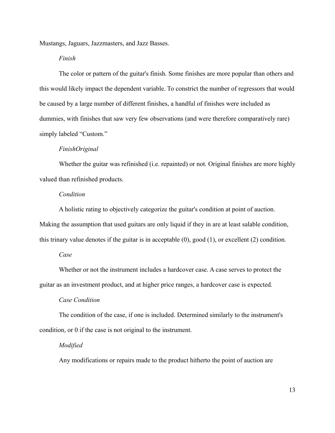Mustangs, Jaguars, Jazzmasters, and Jazz Basses.

# *Finish*

The color or pattern of the guitar's finish. Some finishes are more popular than others and this would likely impact the dependent variable. To constrict the number of regressors that would be caused by a large number of different finishes, a handful of finishes were included as dummies, with finishes that saw very few observations (and were therefore comparatively rare) simply labeled "Custom."

## *FinishOriginal*

Whether the guitar was refinished (i.e. repainted) or not. Original finishes are more highly valued than refinished products.

## *Condition*

A holistic rating to objectively categorize the guitar's condition at point of auction. Making the assumption that used guitars are only liquid if they in are at least salable condition, this trinary value denotes if the guitar is in acceptable (0), good (1), or excellent (2) condition.

# *Case*

Whether or not the instrument includes a hardcover case. A case serves to protect the guitar as an investment product, and at higher price ranges, a hardcover case is expected.

# *Case Condition*

The condition of the case, if one is included. Determined similarly to the instrument's condition, or 0 if the case is not original to the instrument.

#### *Modified*

Any modifications or repairs made to the product hitherto the point of auction are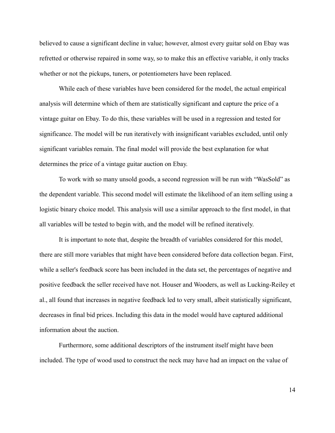believed to cause a significant decline in value; however, almost every guitar sold on Ebay was refretted or otherwise repaired in some way, so to make this an effective variable, it only tracks whether or not the pickups, tuners, or potentiometers have been replaced.

While each of these variables have been considered for the model, the actual empirical analysis will determine which of them are statistically significant and capture the price of a vintage guitar on Ebay. To do this, these variables will be used in a regression and tested for significance. The model will be run iteratively with insignificant variables excluded, until only significant variables remain. The final model will provide the best explanation for what determines the price of a vintage guitar auction on Ebay.

To work with so many unsold goods, a second regression will be run with "WasSold" as the dependent variable. This second model will estimate the likelihood of an item selling using a logistic binary choice model. This analysis will use a similar approach to the first model, in that all variables will be tested to begin with, and the model will be refined iteratively.

It is important to note that, despite the breadth of variables considered for this model, there are still more variables that might have been considered before data collection began. First, while a seller's feedback score has been included in the data set, the percentages of negative and positive feedback the seller received have not. Houser and Wooders, as well as Lucking-Reiley et al., all found that increases in negative feedback led to very small, albeit statistically significant, decreases in final bid prices. Including this data in the model would have captured additional information about the auction.

Furthermore, some additional descriptors of the instrument itself might have been included. The type of wood used to construct the neck may have had an impact on the value of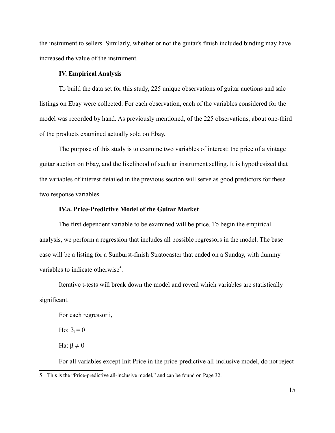the instrument to sellers. Similarly, whether or not the guitar's finish included binding may have increased the value of the instrument.

# **IV. Empirical Analysis**

To build the data set for this study, 225 unique observations of guitar auctions and sale listings on Ebay were collected. For each observation, each of the variables considered for the model was recorded by hand. As previously mentioned, of the 225 observations, about one-third of the products examined actually sold on Ebay.

The purpose of this study is to examine two variables of interest: the price of a vintage guitar auction on Ebay, and the likelihood of such an instrument selling. It is hypothesized that the variables of interest detailed in the previous section will serve as good predictors for these two response variables.

# **IV.a. Price-Predictive Model of the Guitar Market**

The first dependent variable to be examined will be price. To begin the empirical analysis, we perform a regression that includes all possible regressors in the model. The base case will be a listing for a Sunburst-finish Stratocaster that ended on a Sunday, with dummy variables to indicate otherwise<sup>[5](#page-14-0)</sup>.

Iterative t-tests will break down the model and reveal which variables are statistically significant.

For each regressor i,

Ho:  $\beta_i = 0$ 

Ha:  $β_i \neq 0$ 

<span id="page-14-0"></span>For all variables except Init Price in the price-predictive all-inclusive model, do not reject 5 This is the "Price-predictive all-inclusive model," and can be found on Page 32.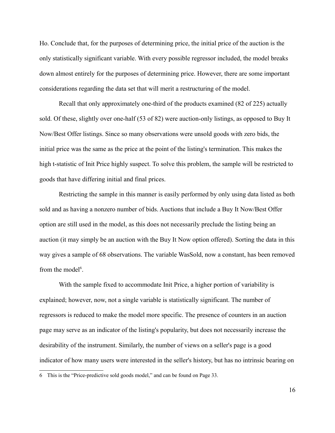Ho. Conclude that, for the purposes of determining price, the initial price of the auction is the only statistically significant variable. With every possible regressor included, the model breaks down almost entirely for the purposes of determining price. However, there are some important considerations regarding the data set that will merit a restructuring of the model.

Recall that only approximately one-third of the products examined (82 of 225) actually sold. Of these, slightly over one-half (53 of 82) were auction-only listings, as opposed to Buy It Now/Best Offer listings. Since so many observations were unsold goods with zero bids, the initial price was the same as the price at the point of the listing's termination. This makes the high t-statistic of Init Price highly suspect. To solve this problem, the sample will be restricted to goods that have differing initial and final prices.

Restricting the sample in this manner is easily performed by only using data listed as both sold and as having a nonzero number of bids. Auctions that include a Buy It Now/Best Offer option are still used in the model, as this does not necessarily preclude the listing being an auction (it may simply be an auction with the Buy It Now option offered). Sorting the data in this way gives a sample of 68 observations. The variable WasSold, now a constant, has been removed from the model<sup>[6](#page-15-0)</sup>.

With the sample fixed to accommodate Init Price, a higher portion of variability is explained; however, now, not a single variable is statistically significant. The number of regressors is reduced to make the model more specific. The presence of counters in an auction page may serve as an indicator of the listing's popularity, but does not necessarily increase the desirability of the instrument. Similarly, the number of views on a seller's page is a good indicator of how many users were interested in the seller's history, but has no intrinsic bearing on

<span id="page-15-0"></span><sup>6</sup> This is the "Price-predictive sold goods model," and can be found on Page 33.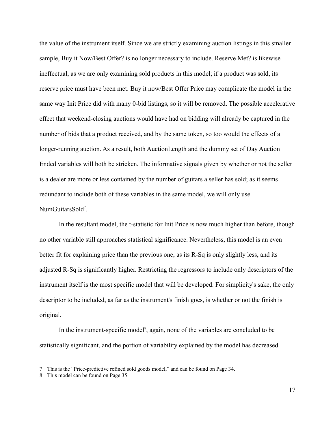the value of the instrument itself. Since we are strictly examining auction listings in this smaller sample, Buy it Now/Best Offer? is no longer necessary to include. Reserve Met? is likewise ineffectual, as we are only examining sold products in this model; if a product was sold, its reserve price must have been met. Buy it now/Best Offer Price may complicate the model in the same way Init Price did with many 0-bid listings, so it will be removed. The possible accelerative effect that weekend-closing auctions would have had on bidding will already be captured in the number of bids that a product received, and by the same token, so too would the effects of a longer-running auction. As a result, both AuctionLength and the dummy set of Day Auction Ended variables will both be stricken. The informative signals given by whether or not the seller is a dealer are more or less contained by the number of guitars a seller has sold; as it seems redundant to include both of these variables in the same model, we will only use NumGuitarsSold<sup>[7](#page-16-0)</sup>.

In the resultant model, the t-statistic for Init Price is now much higher than before, though no other variable still approaches statistical significance. Nevertheless, this model is an even better fit for explaining price than the previous one, as its R-Sq is only slightly less, and its adjusted R-Sq is significantly higher. Restricting the regressors to include only descriptors of the instrument itself is the most specific model that will be developed. For simplicity's sake, the only descriptor to be included, as far as the instrument's finish goes, is whether or not the finish is original.

In the instrument-specific model<sup>[8](#page-16-1)</sup>, again, none of the variables are concluded to be statistically significant, and the portion of variability explained by the model has decreased

<span id="page-16-0"></span><sup>7</sup> This is the "Price-predictive refined sold goods model," and can be found on Page 34.

<span id="page-16-1"></span><sup>8</sup> This model can be found on Page 35.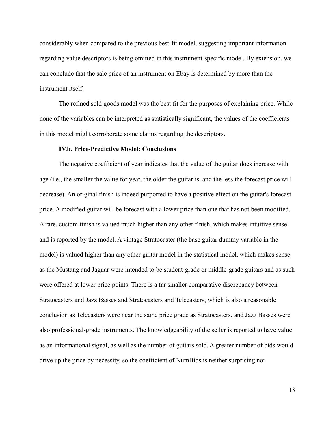considerably when compared to the previous best-fit model, suggesting important information regarding value descriptors is being omitted in this instrument-specific model. By extension, we can conclude that the sale price of an instrument on Ebay is determined by more than the instrument itself.

The refined sold goods model was the best fit for the purposes of explaining price. While none of the variables can be interpreted as statistically significant, the values of the coefficients in this model might corroborate some claims regarding the descriptors.

## **IV.b. Price-Predictive Model: Conclusions**

The negative coefficient of year indicates that the value of the guitar does increase with age (i.e., the smaller the value for year, the older the guitar is, and the less the forecast price will decrease). An original finish is indeed purported to have a positive effect on the guitar's forecast price. A modified guitar will be forecast with a lower price than one that has not been modified. A rare, custom finish is valued much higher than any other finish, which makes intuitive sense and is reported by the model. A vintage Stratocaster (the base guitar dummy variable in the model) is valued higher than any other guitar model in the statistical model, which makes sense as the Mustang and Jaguar were intended to be student-grade or middle-grade guitars and as such were offered at lower price points. There is a far smaller comparative discrepancy between Stratocasters and Jazz Basses and Stratocasters and Telecasters, which is also a reasonable conclusion as Telecasters were near the same price grade as Stratocasters, and Jazz Basses were also professional-grade instruments. The knowledgeability of the seller is reported to have value as an informational signal, as well as the number of guitars sold. A greater number of bids would drive up the price by necessity, so the coefficient of NumBids is neither surprising nor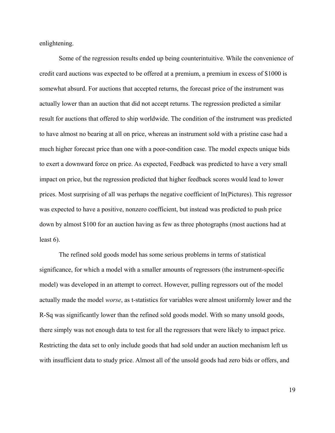enlightening.

Some of the regression results ended up being counterintuitive. While the convenience of credit card auctions was expected to be offered at a premium, a premium in excess of \$1000 is somewhat absurd. For auctions that accepted returns, the forecast price of the instrument was actually lower than an auction that did not accept returns. The regression predicted a similar result for auctions that offered to ship worldwide. The condition of the instrument was predicted to have almost no bearing at all on price, whereas an instrument sold with a pristine case had a much higher forecast price than one with a poor-condition case. The model expects unique bids to exert a downward force on price. As expected, Feedback was predicted to have a very small impact on price, but the regression predicted that higher feedback scores would lead to lower prices. Most surprising of all was perhaps the negative coefficient of ln(Pictures). This regressor was expected to have a positive, nonzero coefficient, but instead was predicted to push price down by almost \$100 for an auction having as few as three photographs (most auctions had at least 6).

The refined sold goods model has some serious problems in terms of statistical significance, for which a model with a smaller amounts of regressors (the instrument-specific model) was developed in an attempt to correct. However, pulling regressors out of the model actually made the model *worse*, as t-statistics for variables were almost uniformly lower and the R-Sq was significantly lower than the refined sold goods model. With so many unsold goods, there simply was not enough data to test for all the regressors that were likely to impact price. Restricting the data set to only include goods that had sold under an auction mechanism left us with insufficient data to study price. Almost all of the unsold goods had zero bids or offers, and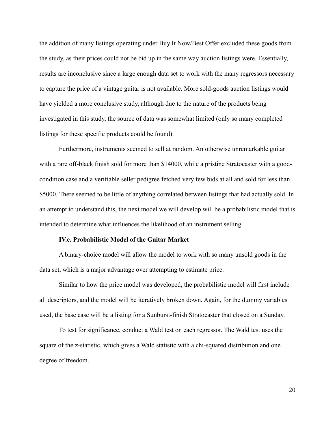the addition of many listings operating under Buy It Now/Best Offer excluded these goods from the study, as their prices could not be bid up in the same way auction listings were. Essentially, results are inconclusive since a large enough data set to work with the many regressors necessary to capture the price of a vintage guitar is not available. More sold-goods auction listings would have yielded a more conclusive study, although due to the nature of the products being investigated in this study, the source of data was somewhat limited (only so many completed listings for these specific products could be found).

Furthermore, instruments seemed to sell at random. An otherwise unremarkable guitar with a rare off-black finish sold for more than \$14000, while a pristine Stratocaster with a goodcondition case and a verifiable seller pedigree fetched very few bids at all and sold for less than \$5000. There seemed to be little of anything correlated between listings that had actually sold. In an attempt to understand this, the next model we will develop will be a probabilistic model that is intended to determine what influences the likelihood of an instrument selling.

#### **IV.c. Probabilistic Model of the Guitar Market**

A binary-choice model will allow the model to work with so many unsold goods in the data set, which is a major advantage over attempting to estimate price.

Similar to how the price model was developed, the probabilistic model will first include all descriptors, and the model will be iteratively broken down. Again, for the dummy variables used, the base case will be a listing for a Sunburst-finish Stratocaster that closed on a Sunday.

To test for significance, conduct a Wald test on each regressor. The Wald test uses the square of the z-statistic, which gives a Wald statistic with a chi-squared distribution and one degree of freedom.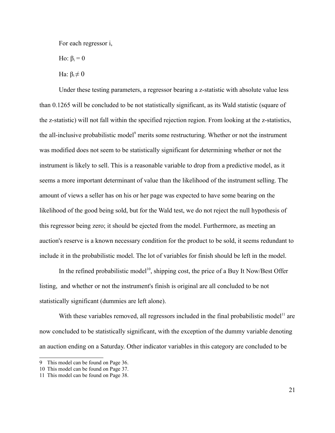For each regressor i,

Ho:  $\beta_i = 0$ 

Ha:  $β_i \neq 0$ 

Under these testing parameters, a regressor bearing a z-statistic with absolute value less than 0.1265 will be concluded to be not statistically significant, as its Wald statistic (square of the z-statistic) will not fall within the specified rejection region. From looking at the z-statistics, the all-inclusive probabilistic model<sup>[9](#page-20-0)</sup> merits some restructuring. Whether or not the instrument was modified does not seem to be statistically significant for determining whether or not the instrument is likely to sell. This is a reasonable variable to drop from a predictive model, as it seems a more important determinant of value than the likelihood of the instrument selling. The amount of views a seller has on his or her page was expected to have some bearing on the likelihood of the good being sold, but for the Wald test, we do not reject the null hypothesis of this regressor being zero; it should be ejected from the model. Furthermore, as meeting an auction's reserve is a known necessary condition for the product to be sold, it seems redundant to include it in the probabilistic model. The lot of variables for finish should be left in the model.

In the refined probabilistic model<sup>[10](#page-20-1)</sup>, shipping cost, the price of a Buy It Now/Best Offer listing, and whether or not the instrument's finish is original are all concluded to be not statistically significant (dummies are left alone).

With these variables removed, all regressors included in the final probabilistic model<sup>[11](#page-20-2)</sup> are now concluded to be statistically significant, with the exception of the dummy variable denoting an auction ending on a Saturday. Other indicator variables in this category are concluded to be

<span id="page-20-0"></span><sup>9</sup> This model can be found on Page 36.

<span id="page-20-1"></span><sup>10</sup> This model can be found on Page 37.

<span id="page-20-2"></span><sup>11</sup> This model can be found on Page 38.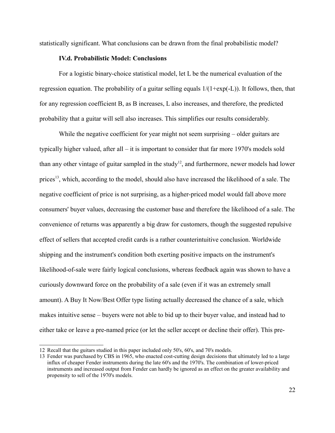statistically significant. What conclusions can be drawn from the final probabilistic model?

# **IV.d. Probabilistic Model: Conclusions**

For a logistic binary-choice statistical model, let L be the numerical evaluation of the regression equation. The probability of a guitar selling equals  $1/(1+\exp(-L))$ . It follows, then, that for any regression coefficient B, as B increases, L also increases, and therefore, the predicted probability that a guitar will sell also increases. This simplifies our results considerably.

While the negative coefficient for year might not seem surprising – older guitars are typically higher valued, after all – it is important to consider that far more 1970's models sold than any other vintage of guitar sampled in the study<sup>[12](#page-21-0)</sup>, and furthermore, newer models had lower prices<sup>[13](#page-21-1)</sup>, which, according to the model, should also have increased the likelihood of a sale. The negative coefficient of price is not surprising, as a higher-priced model would fall above more consumers' buyer values, decreasing the customer base and therefore the likelihood of a sale. The convenience of returns was apparently a big draw for customers, though the suggested repulsive effect of sellers that accepted credit cards is a rather counterintuitive conclusion. Worldwide shipping and the instrument's condition both exerting positive impacts on the instrument's likelihood-of-sale were fairly logical conclusions, whereas feedback again was shown to have a curiously downward force on the probability of a sale (even if it was an extremely small amount). A Buy It Now/Best Offer type listing actually decreased the chance of a sale, which makes intuitive sense – buyers were not able to bid up to their buyer value, and instead had to either take or leave a pre-named price (or let the seller accept or decline their offer). This pre-

<span id="page-21-0"></span><sup>12</sup> Recall that the guitars studied in this paper included only 50's, 60's, and 70's models.

<span id="page-21-1"></span><sup>13</sup> Fender was purchased by CBS in 1965, who enacted cost-cutting design decisions that ultimately led to a large influx of cheaper Fender instruments during the late 60's and the 1970's. The combination of lower-priced instruments and increased output from Fender can hardly be ignored as an effect on the greater availability and propensity to sell of the 1970's models.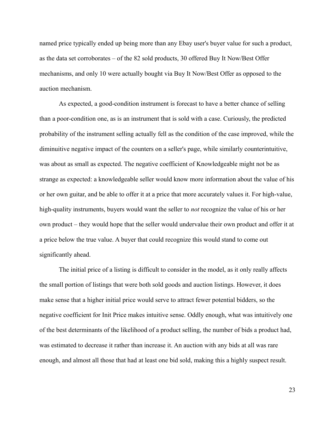named price typically ended up being more than any Ebay user's buyer value for such a product, as the data set corroborates – of the 82 sold products, 30 offered Buy It Now/Best Offer mechanisms, and only 10 were actually bought via Buy It Now/Best Offer as opposed to the auction mechanism.

As expected, a good-condition instrument is forecast to have a better chance of selling than a poor-condition one, as is an instrument that is sold with a case. Curiously, the predicted probability of the instrument selling actually fell as the condition of the case improved, while the diminuitive negative impact of the counters on a seller's page, while similarly counterintuitive, was about as small as expected. The negative coefficient of Knowledgeable might not be as strange as expected: a knowledgeable seller would know more information about the value of his or her own guitar, and be able to offer it at a price that more accurately values it. For high-value, high-quality instruments, buyers would want the seller to *not* recognize the value of his or her own product – they would hope that the seller would undervalue their own product and offer it at a price below the true value. A buyer that could recognize this would stand to come out significantly ahead.

The initial price of a listing is difficult to consider in the model, as it only really affects the small portion of listings that were both sold goods and auction listings. However, it does make sense that a higher initial price would serve to attract fewer potential bidders, so the negative coefficient for Init Price makes intuitive sense. Oddly enough, what was intuitively one of the best determinants of the likelihood of a product selling, the number of bids a product had, was estimated to decrease it rather than increase it. An auction with any bids at all was rare enough, and almost all those that had at least one bid sold, making this a highly suspect result.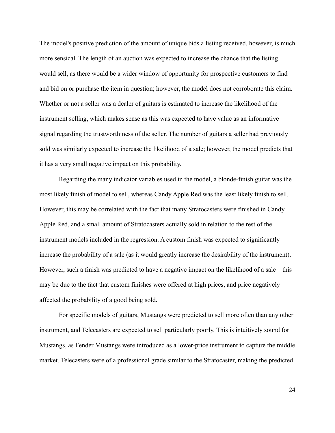The model's positive prediction of the amount of unique bids a listing received, however, is much more sensical. The length of an auction was expected to increase the chance that the listing would sell, as there would be a wider window of opportunity for prospective customers to find and bid on or purchase the item in question; however, the model does not corroborate this claim. Whether or not a seller was a dealer of guitars is estimated to increase the likelihood of the instrument selling, which makes sense as this was expected to have value as an informative signal regarding the trustworthiness of the seller. The number of guitars a seller had previously sold was similarly expected to increase the likelihood of a sale; however, the model predicts that it has a very small negative impact on this probability.

Regarding the many indicator variables used in the model, a blonde-finish guitar was the most likely finish of model to sell, whereas Candy Apple Red was the least likely finish to sell. However, this may be correlated with the fact that many Stratocasters were finished in Candy Apple Red, and a small amount of Stratocasters actually sold in relation to the rest of the instrument models included in the regression. A custom finish was expected to significantly increase the probability of a sale (as it would greatly increase the desirability of the instrument). However, such a finish was predicted to have a negative impact on the likelihood of a sale – this may be due to the fact that custom finishes were offered at high prices, and price negatively affected the probability of a good being sold.

For specific models of guitars, Mustangs were predicted to sell more often than any other instrument, and Telecasters are expected to sell particularly poorly. This is intuitively sound for Mustangs, as Fender Mustangs were introduced as a lower-price instrument to capture the middle market. Telecasters were of a professional grade similar to the Stratocaster, making the predicted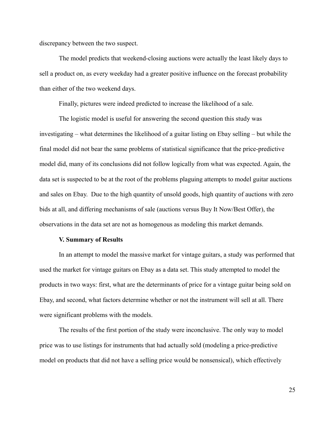discrepancy between the two suspect.

The model predicts that weekend-closing auctions were actually the least likely days to sell a product on, as every weekday had a greater positive influence on the forecast probability than either of the two weekend days.

Finally, pictures were indeed predicted to increase the likelihood of a sale.

The logistic model is useful for answering the second question this study was investigating – what determines the likelihood of a guitar listing on Ebay selling – but while the final model did not bear the same problems of statistical significance that the price-predictive model did, many of its conclusions did not follow logically from what was expected. Again, the data set is suspected to be at the root of the problems plaguing attempts to model guitar auctions and sales on Ebay. Due to the high quantity of unsold goods, high quantity of auctions with zero bids at all, and differing mechanisms of sale (auctions versus Buy It Now/Best Offer), the observations in the data set are not as homogenous as modeling this market demands.

#### **V. Summary of Results**

In an attempt to model the massive market for vintage guitars, a study was performed that used the market for vintage guitars on Ebay as a data set. This study attempted to model the products in two ways: first, what are the determinants of price for a vintage guitar being sold on Ebay, and second, what factors determine whether or not the instrument will sell at all. There were significant problems with the models.

The results of the first portion of the study were inconclusive. The only way to model price was to use listings for instruments that had actually sold (modeling a price-predictive model on products that did not have a selling price would be nonsensical), which effectively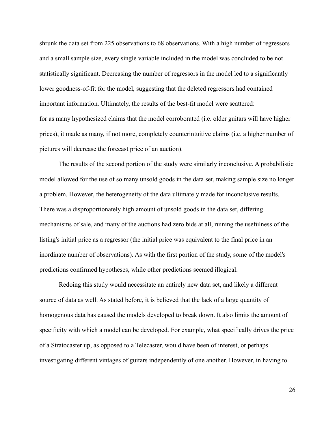shrunk the data set from 225 observations to 68 observations. With a high number of regressors and a small sample size, every single variable included in the model was concluded to be not statistically significant. Decreasing the number of regressors in the model led to a significantly lower goodness-of-fit for the model, suggesting that the deleted regressors had contained important information. Ultimately, the results of the best-fit model were scattered: for as many hypothesized claims that the model corroborated (i.e. older guitars will have higher prices), it made as many, if not more, completely counterintuitive claims (i.e. a higher number of pictures will decrease the forecast price of an auction).

The results of the second portion of the study were similarly inconclusive. A probabilistic model allowed for the use of so many unsold goods in the data set, making sample size no longer a problem. However, the heterogeneity of the data ultimately made for inconclusive results. There was a disproportionately high amount of unsold goods in the data set, differing mechanisms of sale, and many of the auctions had zero bids at all, ruining the usefulness of the listing's initial price as a regressor (the initial price was equivalent to the final price in an inordinate number of observations). As with the first portion of the study, some of the model's predictions confirmed hypotheses, while other predictions seemed illogical.

Redoing this study would necessitate an entirely new data set, and likely a different source of data as well. As stated before, it is believed that the lack of a large quantity of homogenous data has caused the models developed to break down. It also limits the amount of specificity with which a model can be developed. For example, what specifically drives the price of a Stratocaster up, as opposed to a Telecaster, would have been of interest, or perhaps investigating different vintages of guitars independently of one another. However, in having to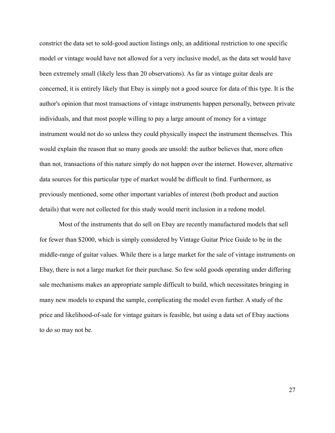constrict the data set to sold-good auction listings only, an additional restriction to one specific model or vintage would have not allowed for a very inclusive model, as the data set would have been extremely small (likely less than 20 observations). As far as vintage guitar deals are concerned, it is entirely likely that Ebay is simply not a good source for data of this type. It is the author's opinion that most transactions of vintage instruments happen personally, between private individuals, and that most people willing to pay a large amount of money for a vintage instrument would not do so unless they could physically inspect the instrument themselves. This would explain the reason that so many goods are unsold: the author believes that, more often than not, transactions of this nature simply do not happen over the internet. However, alternative data sources for this particular type of market would be difficult to find. Furthermore, as previously mentioned, some other important variables of interest (both product and auction details) that were not collected for this study would merit inclusion in a redone model.

Most of the instruments that do sell on Ebay are recently manufactured models that sell for fewer than \$2000, which is simply considered by Vintage Guitar Price Guide to be in the middle-range of guitar values. While there is a large market for the sale of vintage instruments on Ebay, there is not a large market for their purchase. So few sold goods operating under differing sale mechanisms makes an appropriate sample difficult to build, which necessitates bringing in many new models to expand the sample, complicating the model even further. A study of the price and likelihood-of-sale for vintage guitars is feasible, but using a data set of Ebay auctions to do so may not be.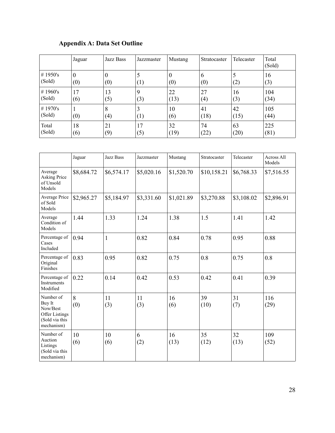# **Appendix A: Data Set Outline**

|                    | Jaguar          | Jazz Bass       | Jazzmaster | Mustang  | Stratocaster | Telecaster | Total<br>(Sold) |
|--------------------|-----------------|-----------------|------------|----------|--------------|------------|-----------------|
| # 1950's<br>(Sold) | $\theta$<br>(0) | $\theta$<br>(0) | (1)        | 0<br>(0) | 6<br>(0)     | (2)        | 16<br>(3)       |
| #1960's            | 17              | 13              | 9          | 22       | 27           | 16         | 104             |
| (Sold)             | (6)             | (5)             | (3)        | (13)     | (4)          | (3)        | (34)            |
| #1970's            | (0)             | 8               | 3          | 10       | 41           | 42         | 105             |
| (Sold)             |                 | (4)             | (1)        | (6)      | (18)         | (15)       | (44)            |
| Total              | 18              | 21              | 17         | 32       | 74           | 63         | 225             |
| (Sold)             | (6)             | (9)             | (5)        | (19)     | (22)         | (20)       | (81)            |

|                                                                                          | Jaguar     | Jazz Bass    | Jazzmaster | Mustang    | Stratocaster | Telecaster | Across All<br>Models |
|------------------------------------------------------------------------------------------|------------|--------------|------------|------------|--------------|------------|----------------------|
| Average<br><b>Asking Price</b><br>of Unsold<br>Models                                    | \$8,684.72 | \$6,574.17   | \$5,020.16 | \$1,520.70 | \$10,158.21  | \$6,768.33 | \$7,516.55           |
| Average Price<br>of Sold<br>Models                                                       | \$2,965.27 | \$5,184.97   | \$3,331.60 | \$1,021.89 | \$3,270.88   | \$3,108.02 | \$2,896.91           |
| Average<br>Condition of<br>Models                                                        | 1.44       | 1.33         | 1.24       | 1.38       | 1.5          | 1.41       | 1.42                 |
| Percentage of<br>Cases<br>Included                                                       | 0.94       | $\mathbf{1}$ | 0.82       | 0.84       | 0.78         | 0.95       | 0.88                 |
| Percentage of<br>Original<br>Finishes                                                    | 0.83       | 0.95         | 0.82       | 0.75       | 0.8          | 0.75       | 0.8                  |
| Percentage of<br><b>Instruments</b><br>Modified                                          | 0.22       | 0.14         | 0.42       | 0.53       | 0.42         | 0.41       | 0.39                 |
| Number of<br>Buy It<br>Now/Best<br><b>Offer Listings</b><br>(Sold via this<br>mechanism) | 8<br>(0)   | 11<br>(3)    | 11<br>(3)  | 16<br>(6)  | 39<br>(10)   | 31<br>(7)  | 116<br>(29)          |
| Number of<br>Auction<br>Listings<br>(Sold via this<br>mechanism)                         | 10<br>(6)  | 10<br>(6)    | 6<br>(2)   | 16<br>(13) | 35<br>(12)   | 32<br>(13) | 109<br>(52)          |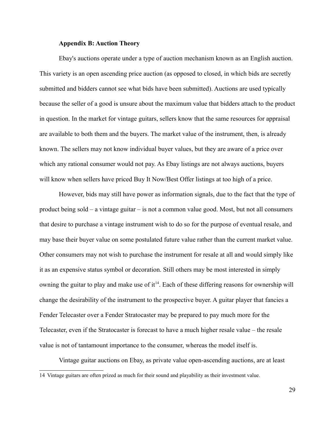#### **Appendix B: Auction Theory**

Ebay's auctions operate under a type of auction mechanism known as an English auction. This variety is an open ascending price auction (as opposed to closed, in which bids are secretly submitted and bidders cannot see what bids have been submitted). Auctions are used typically because the seller of a good is unsure about the maximum value that bidders attach to the product in question. In the market for vintage guitars, sellers know that the same resources for appraisal are available to both them and the buyers. The market value of the instrument, then, is already known. The sellers may not know individual buyer values, but they are aware of a price over which any rational consumer would not pay. As Ebay listings are not always auctions, buyers will know when sellers have priced Buy It Now/Best Offer listings at too high of a price.

However, bids may still have power as information signals, due to the fact that the type of product being sold – a vintage guitar – is not a common value good. Most, but not all consumers that desire to purchase a vintage instrument wish to do so for the purpose of eventual resale, and may base their buyer value on some postulated future value rather than the current market value. Other consumers may not wish to purchase the instrument for resale at all and would simply like it as an expensive status symbol or decoration. Still others may be most interested in simply owning the guitar to play and make use of  $it^{14}$  $it^{14}$  $it^{14}$ . Each of these differing reasons for ownership will change the desirability of the instrument to the prospective buyer. A guitar player that fancies a Fender Telecaster over a Fender Stratocaster may be prepared to pay much more for the Telecaster, even if the Stratocaster is forecast to have a much higher resale value – the resale value is not of tantamount importance to the consumer, whereas the model itself is.

Vintage guitar auctions on Ebay, as private value open-ascending auctions, are at least

<span id="page-28-0"></span><sup>14</sup> Vintage guitars are often prized as much for their sound and playability as their investment value.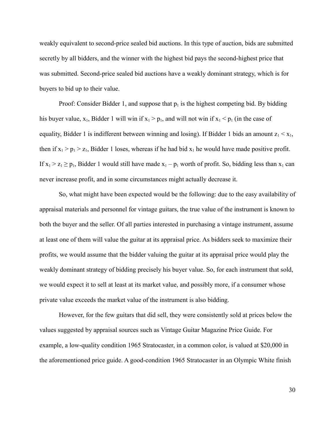weakly equivalent to second-price sealed bid auctions. In this type of auction, bids are submitted secretly by all bidders, and the winner with the highest bid pays the second-highest price that was submitted. Second-price sealed bid auctions have a weakly dominant strategy, which is for buyers to bid up to their value.

Proof: Consider Bidder 1, and suppose that  $p_1$  is the highest competing bid. By bidding his buyer value,  $x_1$ , Bidder 1 will win if  $x_1 > p_1$ , and will not win if  $x_1 < p_1$  (in the case of equality, Bidder 1 is indifferent between winning and losing). If Bidder 1 bids an amount  $z_1 < x_1$ , then if  $x_1 > p_1 > z_1$ , Bidder 1 loses, whereas if he had bid  $x_1$  he would have made positive profit. If  $x_1 > z_1 \ge p_1$ , Bidder 1 would still have made  $x_1 - p_1$  worth of profit. So, bidding less than  $x_1$  can never increase profit, and in some circumstances might actually decrease it.

So, what might have been expected would be the following: due to the easy availability of appraisal materials and personnel for vintage guitars, the true value of the instrument is known to both the buyer and the seller. Of all parties interested in purchasing a vintage instrument, assume at least one of them will value the guitar at its appraisal price. As bidders seek to maximize their profits, we would assume that the bidder valuing the guitar at its appraisal price would play the weakly dominant strategy of bidding precisely his buyer value. So, for each instrument that sold, we would expect it to sell at least at its market value, and possibly more, if a consumer whose private value exceeds the market value of the instrument is also bidding.

However, for the few guitars that did sell, they were consistently sold at prices below the values suggested by appraisal sources such as Vintage Guitar Magazine Price Guide. For example, a low-quality condition 1965 Stratocaster, in a common color, is valued at \$20,000 in the aforementioned price guide. A good-condition 1965 Stratocaster in an Olympic White finish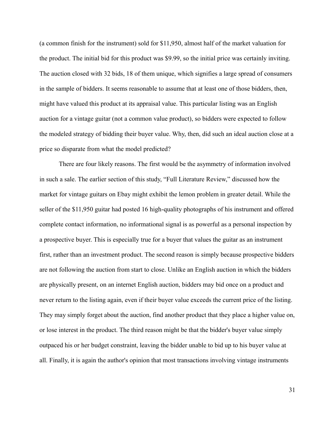(a common finish for the instrument) sold for \$11,950, almost half of the market valuation for the product. The initial bid for this product was \$9.99, so the initial price was certainly inviting. The auction closed with 32 bids, 18 of them unique, which signifies a large spread of consumers in the sample of bidders. It seems reasonable to assume that at least one of those bidders, then, might have valued this product at its appraisal value. This particular listing was an English auction for a vintage guitar (not a common value product), so bidders were expected to follow the modeled strategy of bidding their buyer value. Why, then, did such an ideal auction close at a price so disparate from what the model predicted?

There are four likely reasons. The first would be the asymmetry of information involved in such a sale. The earlier section of this study, "Full Literature Review," discussed how the market for vintage guitars on Ebay might exhibit the lemon problem in greater detail. While the seller of the \$11,950 guitar had posted 16 high-quality photographs of his instrument and offered complete contact information, no informational signal is as powerful as a personal inspection by a prospective buyer. This is especially true for a buyer that values the guitar as an instrument first, rather than an investment product. The second reason is simply because prospective bidders are not following the auction from start to close. Unlike an English auction in which the bidders are physically present, on an internet English auction, bidders may bid once on a product and never return to the listing again, even if their buyer value exceeds the current price of the listing. They may simply forget about the auction, find another product that they place a higher value on, or lose interest in the product. The third reason might be that the bidder's buyer value simply outpaced his or her budget constraint, leaving the bidder unable to bid up to his buyer value at all. Finally, it is again the author's opinion that most transactions involving vintage instruments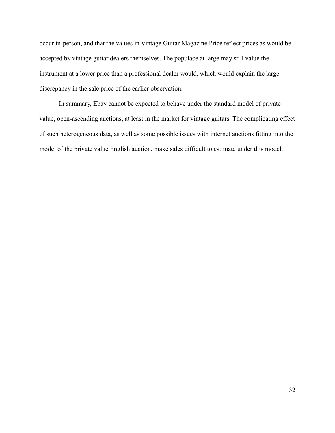occur in-person, and that the values in Vintage Guitar Magazine Price reflect prices as would be accepted by vintage guitar dealers themselves. The populace at large may still value the instrument at a lower price than a professional dealer would, which would explain the large discrepancy in the sale price of the earlier observation.

In summary, Ebay cannot be expected to behave under the standard model of private value, open-ascending auctions, at least in the market for vintage guitars. The complicating effect of such heterogeneous data, as well as some possible issues with internet auctions fitting into the model of the private value English auction, make sales difficult to estimate under this model.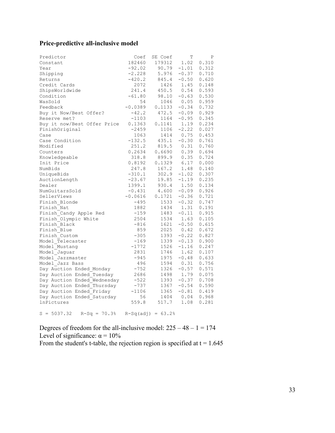# **Price-predictive all-inclusive model**

| Predictor                       | Coef                | SE Coef    | T       | Ρ     |
|---------------------------------|---------------------|------------|---------|-------|
| Constant                        | 182460              | 179312     | 1.02    | 0.310 |
| Year                            | $-92.02$            | 90.79      | $-1.01$ | 0.312 |
| Shipping                        | $-2.228$            | 5.976      | $-0.37$ | 0.710 |
| Returns                         | $-420.2$            | 845.4      | $-0.50$ | 0.620 |
| Credit Cards                    | 2072                | 1426       | 1.45    | 0.148 |
| ShipsWorldwide                  | 241.4               | 450.5      | 0.54    | 0.593 |
| Condition                       | $-61.80$            | 98.10      | $-0.63$ | 0.530 |
| WasSold                         | 54                  | 1046       | 0.05    | 0.959 |
| Feedback                        | $-0.0389$           | 0.1133     | $-0.34$ | 0.732 |
| Buy it Now/Best Offer?          | $-42.2$             | 472.5      | $-0.09$ | 0.929 |
| Reserve met?                    | $-1103$             | 1164       | $-0.95$ | 0.345 |
| Buy it now/Best Offer Price     | 0.1363              | 0.1141     | 1.19    | 0.234 |
| FinishOriginal                  | $-2459$             | 1106       | $-2.22$ | 0.027 |
| Case                            | 1063                | 1414       | 0.75    | 0.453 |
| Case Condition                  | $-132.5$            | 435.1      | $-0.30$ | 0.761 |
| Modified                        | 251.2               | 819.5      | 0.31    | 0.760 |
| Counters                        | 0.2634              | 0.6690     | 0.39    | 0.694 |
| Knowledgeable                   | 318.8               | 899.9      | 0.35    | 0.724 |
| Init Price                      | 0.8192              | 0.1329     | 6.17    | 0.000 |
| NumBids                         | 247.8               | 167.2      | 1.48    | 0.140 |
| UniqueBids                      | $-310.1$            | 302.9      | $-1.02$ | 0.307 |
| AuctionLength                   | $-23.67$            | 19.85      | $-1.19$ | 0.235 |
| Dealer                          | 1399.1              | 930.4 1.50 |         | 0.134 |
| NumGuitarsSold                  | $-0.431$            | 4.600      | $-0.09$ | 0.926 |
| SellerViews                     | $-0.0616$           | 0.1721     | $-0.36$ | 0.721 |
| Finish Blonde                   | $-495$              | 1533       | $-0.32$ | 0.747 |
| Finish Nat                      | 1882                | 1434       | 1.31    | 0.191 |
| Finish Candy Apple Red          | -159                | 1483       | $-0.11$ | 0.915 |
| Finish Olympic White            | 2504                | 1534       | 1.63    | 0.105 |
| Finish Black                    | $-816$              | 1621       | $-0.50$ | 0.615 |
| Finish Blue                     | 859                 | 2025       | 0.42    | 0.672 |
| Finish Custom                   | $-305$              | 1393       | $-0.22$ | 0.827 |
| Model Telecaster                | $-169$              | 1339       | $-0.13$ | 0.900 |
| Model Mustang                   | $-1772$             | 1526       | $-1.16$ | 0.247 |
| Model Jaguar                    | 2831                | 1746       | 1.62    | 0.107 |
| Model_Jazzmaster                | $-945$              | 1975       | $-0.48$ | 0.633 |
| Model Jazz Bass                 | 496                 | 1594       | 0.31    | 0.756 |
| Day Auction Ended Monday        | $-752$              | 1326       | $-0.57$ | 0.571 |
| Day Auction Ended Tuesday       | 2686                | 1498       | 1.79    | 0.075 |
| Day Auction Ended Wednesday     | $-522$              | 1393       | $-0.37$ | 0.708 |
| Day Auction Ended Thursday      | -737                | 1367       | $-0.54$ | 0.590 |
| Day Auction Ended Friday        | $-1106$             | 1365       | $-0.81$ | 0.419 |
| Day Auction Ended Saturday      | 56                  | 1404       | 0.04    | 0.968 |
| lnPictures                      | 559.8               | 517.7      | 1.08    | 0.281 |
| $S = 5037.32$<br>$R-Sq = 70.3%$ | $R-Sq(adj) = 63.2%$ |            |         |       |
|                                 |                     |            |         |       |

Degrees of freedom for the all-inclusive model:  $225 - 48 - 1 = 174$ Level of significance:  $\alpha = 10\%$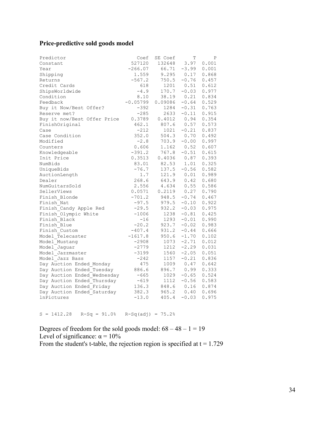# **Price-predictive sold goods model**

| Predictor                   | Coef       | SE Coef | Т       | Ρ            |
|-----------------------------|------------|---------|---------|--------------|
| Constant                    | 527120     | 132648  | 3.97    | 0.001        |
| Year                        | $-266.07$  | 66.71   | $-3.99$ | 0.001        |
| Shipping                    | 1.559      | 9.295   |         | $0.17$ 0.868 |
| Returns                     | $-567.2$   | 750.5   | $-0.76$ | 0.457        |
| Credit Cards                | 618        | 1201    | 0.51    | 0.612        |
| ShipsWorldwide              | $-4.9$     | 170.7   | $-0.03$ | 0.977        |
| Condition                   | 8.10       | 38.19   | 0.21    | 0.834        |
| Feedback                    | $-0.05799$ | 0.09086 | $-0.64$ | 0.529        |
| Buy it Now/Best Offer?      | $-392$     | 1284    | $-0.31$ | 0.763        |
| Reserve met?                | $-285$     | 2633    | $-0.11$ | 0.915        |
| Buy it now/Best Offer Price | 0.3789     | 0.4012  | 0.94    | 0.354        |
| FinishOriginal              | 462.1      | 807.6   | 0.57    | 0.573        |
| Case                        | $-212$     | 1021    | $-0.21$ | 0.837        |
| Case Condition              | 352.0      | 504.3   |         | 0.70 0.492   |
| Modified                    | $-2.8$     | 703.9   | $-0.00$ | 0.997        |
| Counters                    | 0.606      | 1.162   | 0.52    | 0.607        |
| Knowledgeable               | $-391.2$   | 767.8   | $-0.51$ | 0.615        |
| Init Price                  | 0.3513     | 0.4036  | 0.87    | 0.393        |
| NumBids                     | 83.01      | 82.53   | 1.01    | 0.325        |
| UniqueBids                  | $-76.7$    | 137.5   | $-0.56$ | 0.582        |
| AuctionLength               | 1.7        | 121.9   | 0.01    | 0.989        |
| Dealer                      | 268.6      | 643.9   | 0.42    | 0.680        |
| NumGuitarsSold              | 2.556      | 4.634   | 0.55    | 0.586        |
| SellerViews                 | 0.0571     | 0.2119  | 0.27    | 0.790        |
| Finish Blonde               | $-701.2$   | 948.5   | $-0.74$ | 0.467        |
| Finish Nat                  | $-97.5$    | 979.5   | $-0.10$ | 0.922        |
| Finish Candy Apple Red      | $-29.5$    | 932.2   | $-0.03$ | 0.975        |
| Finish Olympic White        | $-1006$    | 1238    | $-0.81$ | 0.425        |
| Finish Black                | $-16$      | 1293    | $-0.01$ | 0.990        |
| Finish Blue                 | $-20.2$    | 923.7   | $-0.02$ | 0.983        |
| Finish Custom               | $-407.4$   | 931.2   | $-0.44$ | 0.666        |
| Model Telecaster            | $-1617.8$  | 950.6   | $-1.70$ | 0.102        |
| Model Mustang               | $-2908$    | 1073    | $-2.71$ | 0.012        |
| Model Jaguar                | $-2779$    | 1212    | $-2.29$ | 0.031        |
| Model Jazzmaster            | $-3199$    | 1560    | $-2.05$ | 0.051        |
| Model Jazz Bass             | $-242$     | 1157    | $-0.21$ | 0.836        |
| Day Auction Ended Monday    | 475        | 1009    | 0.47    | 0.642        |
| Day Auction Ended Tuesday   | 886.6      | 896.7   | 0.99    | 0.333        |
| Day Auction Ended Wednesday | $-665$     | 1029    | $-0.65$ | 0.524        |
| Day Auction Ended Thursday  | $-619$     | 1112    | $-0.56$ | 0.583        |
| Day Auction Ended Friday    | 136.3      | 848.6   | 0.16    | 0.874        |
| Day Auction Ended Saturday  | 382.3      | 965.2   | 0.40    | 0.696        |
| lnPictures                  | $-13.0$    | 405.4   | $-0.03$ | 0.975        |

 $S = 1412.28$   $R-Sq = 91.0%$   $R-Sq(adj) = 75.2%$ 

Degrees of freedom for the sold goods model:  $68 - 48 - 1 = 19$ Level of significance:  $\alpha = 10\%$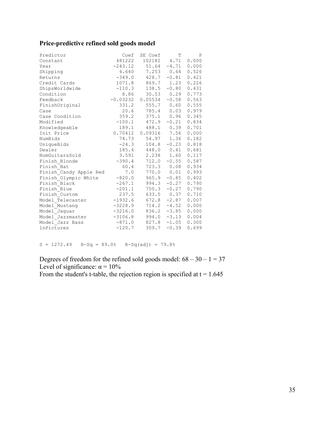# **Price-predictive refined sold goods model**

| Predictor              | Coef      | SE Coef                         | Т              | $\mathbf P$ |
|------------------------|-----------|---------------------------------|----------------|-------------|
| Constant               | 481222    | 102182  4.71  0.000             |                |             |
| Year                   |           | $-243.12$ $51.64$ $-4.71$ 0.000 |                |             |
| Shipping               | 4.640     | 7.253 0.64                      |                | 0.526       |
| Returns                | $-349.0$  |                                 | $428.7 -0.81$  | 0.421       |
| Credit Cards           |           | 1071.8 869.7 1.23               |                | 0.226       |
| ShipsWorldwide         |           | $-110.3$ 138.5 $-0.80$          |                | 0.431       |
| Condition              | 8.86      |                                 | $30.53$ 0.29   | 0.773       |
| Feedback               |           | $-0.03232$ 0.05534 $-0.58$      |                | 0.563       |
| FinishOriginal         | 331.2     |                                 | 555.7 0.60     | 0.555       |
| Case                   | 20.6      |                                 | 785.4 0.03     | 0.979       |
| Case Condition         | 359.2     |                                 | $375.1$ 0.96   | 0.345       |
| Modified               |           | $-100.1$ $472.9$ $-0.21$        |                | 0.834       |
| Knowledgeable          |           | 189.1 488.1 0.39                |                | 0.701       |
| Init Price             |           | 0.70412 0.09316 7.56            |                | 0.000       |
| NumBids                | 74.73     |                                 | 54.97 1.36     | 0.182       |
| UniqueBids             | $-24.3$   |                                 | $104.8 - 0.23$ | 0.818       |
| Dealer                 |           | 185.4 448.0 0.41                |                | 0.681       |
| NumGuitarsSold         |           | 3.591 2.238 1.60                |                | 0.117       |
| Finish Blonde          |           | $-390.4$ $712.0$ $-0.55$        |                | 0.587       |
| Finish Nat             |           | 60.4 723.3 0.08                 |                | 0.934       |
| Finish Candy Apple Red |           | $7.0$ $770.0$ $0.01$            |                | 0.993       |
| Finish Olympic White   |           | $-820.0$ 965.9 $-0.85$          |                | 0.402       |
| Finish Black           |           | $-267.1$ 994.3 $-0.27$          |                | 0.790       |
| Finish Blue            |           | $-201.1$ 750.3 $-0.27$          |                | 0.790       |
| Finish Custom          | 237.5     |                                 | 633.5 0.37     | 0.710       |
| Model Telecaster       |           | $-1932.6$ 672.8 $-2.87$         |                | 0.007       |
| Model Mustang          | $-3228.9$ |                                 | $714.2 -4.52$  | 0.000       |
| Model Jaquar           |           | $-3216.0$ $836.2$ $-3.85$       |                | 0.000       |
| Model Jazzmaster       |           | $-3106.8$ 994.0 $-3.13$         |                | 0.004       |
| Model Jazz Bass        |           | $-871.0$ $827.8$ $-1.05$        |                | 0.300       |
| <b>lnPictures</b>      | $-120.7$  |                                 | $309.7 - 0.39$ | 0.699       |

 $S = 1272.49$   $R-Sq = 89.0%$   $R-Sq(adj) = 79.8%$ 

Degrees of freedom for the refined sold goods model:  $68 - 30 - 1 = 37$ Level of significance:  $\alpha = 10\%$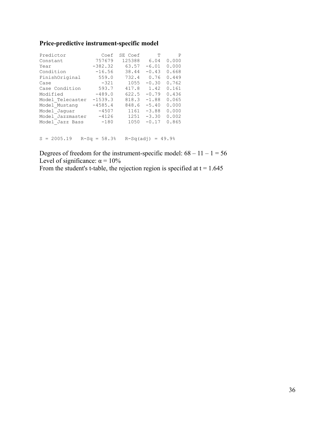# **Price-predictive instrument-specific model**

| Predictor        | Coef      | SE Coef | т       | P     |
|------------------|-----------|---------|---------|-------|
| Constant         | 757679    | 125388  | 6.04    | 0.000 |
| Year             | $-382.32$ | 63.57   | $-6.01$ | 0.000 |
| Condition        | $-16.56$  | 38.44   | $-0.43$ | 0.668 |
| FinishOriginal   | 559.0     | 732.4   | 0.76    | 0.449 |
| Case             | $-321$    | 1055    | $-0.30$ | 0.762 |
| Case Condition   | 593.7     | 417.8   | 1.42    | 0.161 |
| Modified         | $-489.0$  | 622.5   | $-0.79$ | 0.436 |
| Model Telecaster | $-1539.3$ | 818.3   | $-1.88$ | 0.065 |
| Model Mustang    | $-4585.4$ | 848.6   | $-5.40$ | 0.000 |
| Model Jaguar     | $-4507$   | 1161    | $-3.88$ | 0.000 |
| Model Jazzmaster | $-4126$   | 1251    | $-3.30$ | 0.002 |
| Model Jazz Bass  | $-180$    | 1050    | $-0.17$ | 0.865 |
|                  |           |         |         |       |

 $S = 2005.19$   $R-Sq = 58.3%$   $R-Sq(adj) = 49.9%$ 

Degrees of freedom for the instrument-specific model:  $68 - 11 - 1 = 56$ Level of significance:  $\alpha = 10\%$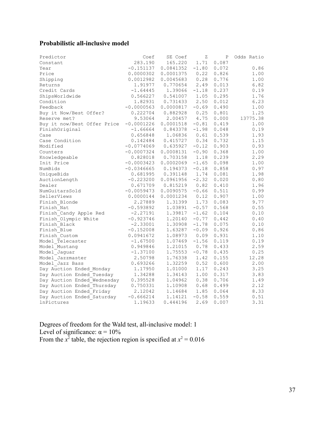# **Probabilistic all-inclusive model**

| Predictor                   | Coef         | SE Coef            | Ζ       | P     | Odds Ratio |
|-----------------------------|--------------|--------------------|---------|-------|------------|
| Constant                    | 283.190      | 165.220            | 1.71    | 0.087 |            |
| Year                        | $-0.151137$  | $0.0841352 -1.80$  |         | 0.072 | 0.86       |
| Price                       | 0.0000302    | 0.0001375          | 0.22    | 0.826 | 1.00       |
| Shipping                    | 0.0012982    | 0.0045683          | 0.28    | 0.776 | 1.00       |
| Returns                     | 1.91977      | 0.770654           | 2.49    | 0.013 | 6.82       |
| Credit Cards                | $-1.64445$   | 1.39066            | $-1.18$ | 0.237 | 0.19       |
| ShipsWorldwide              | 0.566227     | 0.541007           | 1.05    | 0.295 | 1.76       |
| Condition                   | 1.82931      | 0.731433           | 2.50    | 0.012 | 6.23       |
| Feedback                    | $-0.0000563$ | $0.0000817 - 0.69$ |         | 0.490 | 1.00       |
| Buy it Now/Best Offer?      | 0.222704     | 0.882928           | 0.25    | 0.801 | 1.25       |
| Reserve met?                | 9.53064      | 2.00457            | 4.75    | 0.000 | 13775.38   |
| Buy it now/Best Offer Price | $-0.0001226$ | $0.0001518 - 0.81$ |         | 0.419 | 1.00       |
| FinishOriginal              | $-1.66664$   | 0.843378           | $-1.98$ | 0.048 | 0.19       |
| Case                        | 0.656848     | 1.06836            | 0.61    | 0.539 | 1.93       |
| Case Condition              | 0.142484     | $0.415727$ 0.34    |         | 0.732 | 1.15       |
| Modified                    | $-0.0774069$ | 0.635927           | $-0.12$ | 0.903 | 0.93       |
| Counters                    | $-0.0007324$ | 0.0008131          | $-0.90$ | 0.368 | 1.00       |
| Knowledgeable               | 0.828018     | $0.703158$ 1.18    |         | 0.239 | 2.29       |
| Init Price                  | $-0.0003423$ | 0.0002069          | $-1.65$ | 0.098 | 1.00       |
| NumBids                     | $-0.0346665$ | 0.194373           | $-0.18$ | 0.858 | 0.97       |
| UniqueBids                  | 0.681995     | 0.391148 1.74      |         | 0.081 | 1.98       |
| AuctionLength               | $-0.223200$  | 0.0961956          | $-2.32$ | 0.020 | 0.80       |
| Dealer                      | 0.671709     | $0.815219$ $0.82$  |         | 0.410 | 1.96       |
| NumGuitarsSold              | $-0.0059473$ | 0.0090575          | $-0.66$ | 0.511 | 0.99       |
| SellerViews                 | 0.0000144    | 0.0001234          | 0.12    | 0.907 | 1.00       |
| Finish Blonde               | 2.27889      | 1.31399 1.73       |         | 0.083 | 9.77       |
| Finish Nat                  | $-0.593892$  | 1.03891            | $-0.57$ | 0.568 | 0.55       |
| Finish Candy Apple Red      | $-2.27191$   | 1.39817            | $-1.62$ | 0.104 | 0.10       |
| Finish Olympic White        | $-0.923746$  | 1.20140            | $-0.77$ | 0.442 | 0.40       |
| Finish Black                | $-2.33001$   | $1.30908 - 1.78$   |         | 0.075 | 0.10       |
| Finish Blue                 | $-0.152008$  | 1.63287            | $-0.09$ | 0.926 | 0.86       |
| Finish Custom               | 0.0941672    | 1.08973            | 0.09    | 0.931 | 1.10       |
| Model Telecaster            | $-1.67500$   | 1.07469            | $-1.56$ | 0.119 | 0.19       |
| Model Mustang               | 0.949846     | 1.21015            | 0.78    | 0.433 | 2.59       |
| Model Jaquar                | $-1.37100$   | 1.75553            | $-0.78$ | 0.435 | 0.25       |
| Model Jazzmaster            | 2.50798      | 1.76338            | 1.42    | 0.155 | 12.28      |
| Model Jazz Bass             | 0.693266     | 1.32259            | 0.52    | 0.600 | 2.00       |
| Day Auction Ended Monday    | 1.17950      | 1.01000            | 1.17    | 0.243 | 3.25       |
| Day Auction Ended Tuesday   | 1.34288      | 1.34143            | 1.00    | 0.317 | 3.83       |
| Day Auction Ended Wednesday | 0.395528     | 1.04962            | 0.38    | 0.706 | 1.49       |
| Day Auction Ended Thursday  | 0.750331     | 1.10908            | 0.68    | 0.499 | 2.12       |
| Day Auction Ended Friday    | 2.12042      | 1.14684            | 1.85    | 0.064 | 8.33       |
| Day Auction Ended Saturday  | $-0.666214$  | 1.14121            | $-0.58$ | 0.559 | 0.51       |
| lnPictures                  | 1.19633      | 0.444196           | 2.69    | 0.007 | 3.31       |

Degrees of freedom for the Wald test, all-inclusive model: 1 Level of significance:  $\alpha = 10\%$ From the  $x^2$  table, the rejection region is specified at  $x^2 = 0.016$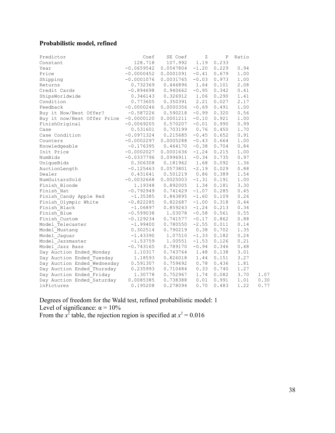# **Probabilistic model, refined**

| Predictor                   | Coef         | SE Coef   | Ζ       | P               | Ratio |      |
|-----------------------------|--------------|-----------|---------|-----------------|-------|------|
| Constant                    | 128.718      | 107.992   | 1.19    | 0.233           |       |      |
| Year                        | $-0.0659542$ | 0.0547804 |         | $-1.20$ 0.229   | 0.94  |      |
| Price                       | $-0.0000452$ | 0.0001091 |         | $-0.41$ 0.679   | 1.00  |      |
| Shipping                    | $-0.0001076$ | 0.0031765 | $-0.03$ | 0.973           | 1.00  |      |
| Returns                     | 0.732369     | 0.446896  | 1.64    | 0.101           | 2.08  |      |
| Credit Cards                | $-0.894698$  | 0.940662  | $-0.95$ | 0.342           | 0.41  |      |
| ShipsWorldwide              | 0.346143     | 0.326912  |         | $1.06$ 0.290    | 1.41  |      |
| Condition                   | 0.773605     | 0.350391  | 2.21    | 0.027           | 2.17  |      |
| Feedback                    | $-0.0000246$ | 0.0000356 |         | $-0.69$ $0.491$ | 1.00  |      |
| Buy it Now/Best Offer?      | $-0.587226$  | 0.590218  |         | $-0.99$ $0.320$ | 0.56  |      |
| Buy it now/Best Offer Price | $-0.0000120$ | 0.0001211 | $-0.10$ | 0.921           | 1.00  |      |
| FinishOriginal              | $-0.0069205$ | 0.570207  | $-0.01$ | 0.990           | 0.99  |      |
| Case                        | 0.531601     | 0.703199  | 0.76    | 0.450           | 1.70  |      |
| Case Condition              | $-0.0971324$ | 0.215685  |         | $-0.45$ 0.652   | 0.91  |      |
| Counters                    | $-0.0002297$ | 0.0005288 |         | $-0.43$ 0.664   | 1.00  |      |
| Knowledgeable               | $-0.176395$  | 0.464170  | $-0.38$ | 0.704           | 0.84  |      |
| Init Price                  | $-0.0002027$ | 0.0001636 | $-1.24$ | 0.215           | 1.00  |      |
| NumBids                     | $-0.0337796$ | 0.0996911 | $-0.34$ | 0.735           | 0.97  |      |
| UniqueBids                  | 0.306308     | 0.181962  |         | 1.68 0.092      | 1.36  |      |
| AuctionLength               | $-0.125463$  | 0.0573801 |         | $-2.19$ 0.029   | 0.88  |      |
| Dealer                      | 0.431641     | 0.501219  | 0.86    | 0.389           | 1.54  |      |
| NumGuitarsSold              | $-0.0032668$ | 0.0025003 | $-1.31$ | 0.191           | 1.00  |      |
| Finish Blonde               | 1.19348      | 0.892005  | 1.34    | 0.181           | 3.30  |      |
| Finish Nat                  | $-0.792949$  | 0.741429  |         | $-1.07$ 0.285   | 0.45  |      |
| Finish Candy Apple Red      | $-1.35385$   | 0.843895  | $-1.60$ | 0.109           | 0.26  |      |
| Finish Olympic White        | $-0.822285$  | 0.822687  | $-1.00$ | 0.318           | 0.44  |      |
| Finish Black                | $-1.06897$   | 0.859243  |         | $-1.24$ 0.213   | 0.34  |      |
| Finish Blue                 | $-0.599038$  | 1.03078   |         | $-0.58$ 0.561   | 0.55  |      |
| Finish Custom               | $-0.129234$  | 0.741577  |         | $-0.17$ 0.862   | 0.88  |      |
| Model Telecaster            | $-1.99400$   | 0.780550  | $-2.55$ | 0.011           | 0.14  |      |
| Model Mustang               | 0.302514     | 0.790219  | 0.38    | 0.702           | 1.35  |      |
| Model Jaguar                | $-1.43390$   | 1.07510   | $-1.33$ | 0.182           | 0.24  |      |
| Model Jazzmaster            | $-1.53759$   | 1.00551   |         | $-1.53$ 0.126   | 0.21  |      |
| Model Jazz Bass             | $-0.743165$  | 0.789170  | $-0.94$ | 0.346           | 0.48  |      |
| Day Auction Ended Monday    | 1.10317      | 0.743764  | 1.48    | 0.138           | 3.01  |      |
| Day Auction Ended Tuesday   | 1.18593      | 0.826018  | 1.44    | 0.151           | 3.27  |      |
| Day Auction Ended Wednesday | 0.591307     | 0.759692  |         | $0.78$ 0.436    | 1.81  |      |
| Day Auction Ended Thursday  | 0.235993     | 0.710484  | 0.33    | 0.740           | 1.27  |      |
| Day Auction Ended Friday    | 1.30778      | 0.752967  | 1.74    | 0.082           | 3.70  | 1.07 |
| Day Auction Ended Saturday  | 0.0085385    | 0.738388  | 0.01    | 0.991           | 1.01  | 0.30 |
| <b>lnPictures</b>           | 0.195208     | 0.278094  | 0.70    | 0.483           | 1.22  | 0.77 |

Degrees of freedom for the Wald test, refined probabilistic model: 1 Level of significance:  $\alpha = 10\%$ From the  $x^2$  table, the rejection region is specified at  $x^2 = 0.016$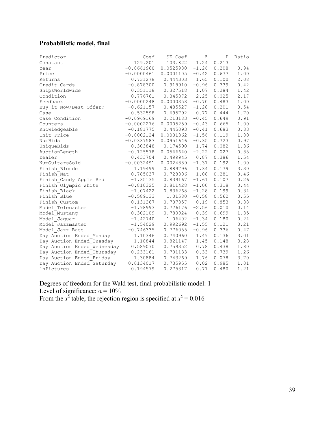# **Probabilistic model, final**

| Predictor                   | Coef         | SE Coef   | Ζ       | Ρ     | Ratio |
|-----------------------------|--------------|-----------|---------|-------|-------|
| Constant                    | 129.201      | 103.822   | 1.24    | 0.213 |       |
| Year                        | $-0.0661960$ | 0.0525980 | $-1.26$ | 0.208 | 0.94  |
| Price                       | $-0.0000461$ | 0.0001105 | $-0.42$ | 0.677 | 1.00  |
| Returns                     | 0.731278     | 0.444303  | 1.65    | 0.100 | 2.08  |
| Credit Cards                | $-0.878300$  | 0.918910  | $-0.96$ | 0.339 | 0.42  |
| ShipsWorldwide              | 0.351118     | 0.327518  | 1.07    | 0.284 | 1.42  |
| Condition                   | 0.776761     | 0.345372  | 2.25    | 0.025 | 2.17  |
| Feedback                    | $-0.0000248$ | 0.0000353 | $-0.70$ | 0.483 | 1.00  |
| Buy it Now/Best Offer?      | $-0.621157$  | 0.485527  | $-1.28$ | 0.201 | 0.54  |
| Case                        | 0.532598     | 0.695792  | 0.77    | 0.444 | 1.70  |
| Case Condition              | $-0.0969169$ | 0.213183  | $-0.45$ | 0.649 | 0.91  |
| Counters                    | $-0.0002276$ | 0.0005259 | $-0.43$ | 0.665 | 1.00  |
| Knowledgeable               | $-0.181775$  | 0.445093  | $-0.41$ | 0.683 | 0.83  |
| Init Price                  | $-0.0002124$ | 0.0001362 | $-1.56$ | 0.119 | 1.00  |
| NumBids                     | $-0.0337587$ | 0.0951646 | $-0.35$ | 0.723 | 0.97  |
| UniqueBids                  | 0.303848     | 0.174590  | 1.74    | 0.082 | 1.36  |
| AuctionLength               | $-0.125578$  | 0.0566640 | $-2.22$ | 0.027 | 0.88  |
| Dealer                      | 0.433704     | 0.499945  | 0.87    | 0.386 | 1.54  |
| NumGuitarsSold              | $-0.0032491$ | 0.0024889 | $-1.31$ | 0.192 | 1.00  |
| Finish Blonde               | 1.19499      | 0.889796  | 1.34    | 0.179 | 3.30  |
| Finish Nat                  | $-0.785037$  | 0.728806  | $-1.08$ | 0.281 | 0.46  |
| Finish Candy Apple Red      | $-1.35135$   | 0.839167  | $-1.61$ | 0.107 | 0.26  |
| Finish Olympic White        | $-0.810325$  | 0.811428  | $-1.00$ | 0.318 | 0.44  |
| Finish Black                | $-1.07422$   | 0.836268  | $-1.28$ | 0.199 | 0.34  |
| Finish Blue                 | $-0.589133$  | 1.01580   | $-0.58$ | 0.562 | 0.55  |
| Finish Custom               | $-0.131267$  | 0.707857  | $-0.19$ | 0.853 | 0.88  |
| Model Telecaster            | $-1.98993$   | 0.776176  | $-2.56$ | 0.010 | 0.14  |
| Model Mustang               | 0.302109     | 0.780924  | 0.39    | 0.699 | 1.35  |
| Model Jaguar                | $-1.42740$   | 1.06402   | $-1.34$ | 0.180 | 0.24  |
| Model Jazzmaster            | $-1.54029$   | 0.992692  | $-1.55$ | 0.121 | 0.21  |
| Model Jazz Bass             | $-0.746335$  | 0.776055  | $-0.96$ | 0.336 | 0.47  |
| Day Auction Ended Monday    | 1.10346      | 0.740960  | 1.49    | 0.136 | 3.01  |
| Day Auction Ended Tuesday   | 1.18844      | 0.821147  | 1.45    | 0.148 | 3.28  |
| Day Auction Ended Wednesday | 0.589070     | 0.759352  | 0.78    | 0.438 | 1.80  |
| Day Auction Ended Thursday  | 0.233161     | 0.701133  | 0.33    | 0.739 | 1.26  |
| Day Auction Ended Friday    | 1.30884      | 0.743269  | 1.76    | 0.078 | 3.70  |
| Day Auction Ended Saturday  | 0.0134017    | 0.735955  | 0.02    | 0.985 | 1.01  |
| <b>lnPictures</b>           | 0.194579     | 0.275317  | 0.71    | 0.480 | 1.21  |

Degrees of freedom for the Wald test, final probabilistic model: 1 Level of significance:  $\alpha = 10\%$ From the  $x^2$  table, the rejection region is specified at  $x^2 = 0.016$